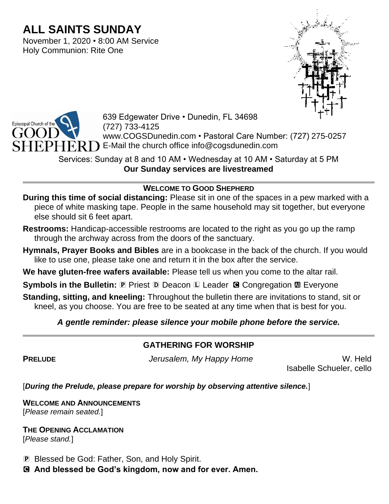# **ALL SAINTS SUNDAY**

November 1, 2020 • 8:00 AM Service Holy Communion: Rite One





639 Edgewater Drive • Dunedin, FL 34698 (727) 733-4125 www.COGSDunedin.com • Pastoral Care Number: (727) 275-0257 E-Mail the church office info@cogsdunedin.com

Services: Sunday at 8 and 10 AM • Wednesday at 10 AM • Saturday at 5 PM **Our Sunday services are livestreamed**

# **WELCOME TO GOOD SHEPHERD**

**During this time of social distancing:** Please sit in one of the spaces in a pew marked with a piece of white masking tape. People in the same household may sit together, but everyone else should sit 6 feet apart.

- **Restrooms:** Handicap-accessible restrooms are located to the right as you go up the ramp through the archway across from the doors of the sanctuary.
- **Hymnals, Prayer Books and Bibles** are in a bookcase in the back of the church. If you would like to use one, please take one and return it in the box after the service.
- **We have gluten-free wafers available:** Please tell us when you come to the altar rail.

**Symbols in the Bulletin: P** Priest **D** Deacon **L** Leader **G** Congregation **M** Everyone

**Standing, sitting, and kneeling:** Throughout the bulletin there are invitations to stand, sit or kneel, as you choose. You are free to be seated at any time when that is best for you.

# *A gentle reminder: please silence your mobile phone before the service.*

# **GATHERING FOR WORSHIP**

**PRELUDE** *Jerusalem, My Happy Home* W. Held

Isabelle Schueler, cello

[*During the Prelude, please prepare for worship by observing attentive silence.*]

**WELCOME AND ANNOUNCEMENTS** [*Please remain seated.*]

**THE OPENING ACCLAMATION** [*Please stand.*]

P Blessed be God: Father, Son, and Holy Spirit.

C **And blessed be God's kingdom, now and for ever. Amen.**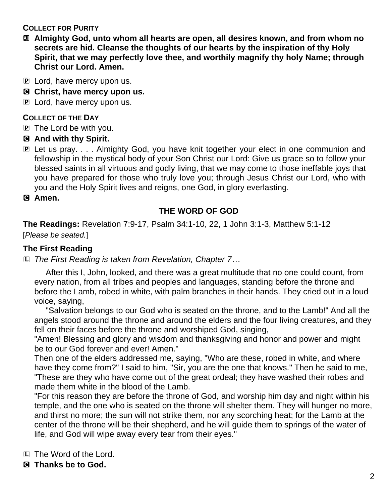**COLLECT FOR PURITY**

- a **Almighty God, unto whom all hearts are open, all desires known, and from whom no secrets are hid. Cleanse the thoughts of our hearts by the inspiration of thy Holy Spirit, that we may perfectly love thee, and worthily magnify thy holy Name; through Christ our Lord. Amen.**
- P Lord, have mercy upon us.
- C **Christ, have mercy upon us.**
- P Lord, have mercy upon us.

#### **COLLECT OF THE DAY**

- P The Lord be with you.
- C **And with thy Spirit.**
- P Let us pray. . . . Almighty God, you have knit together your elect in one communion and fellowship in the mystical body of your Son Christ our Lord: Give us grace so to follow your blessed saints in all virtuous and godly living, that we may come to those ineffable joys that you have prepared for those who truly love you; through Jesus Christ our Lord, who with you and the Holy Spirit lives and reigns, one God, in glory everlasting.

#### C **Amen.**

# **THE WORD OF GOD**

**The Readings:** Revelation 7:9-17, Psalm 34:1-10, 22, 1 John 3:1-3, Matthew 5:1-12 [*Please be seated.*]

# **The First Reading**

L *The First Reading is taken from Revelation, Chapter 7…*

After this I, John, looked, and there was a great multitude that no one could count, from every nation, from all tribes and peoples and languages, standing before the throne and before the Lamb, robed in white, with palm branches in their hands. They cried out in a loud voice, saying,

"Salvation belongs to our God who is seated on the throne, and to the Lamb!" And all the angels stood around the throne and around the elders and the four living creatures, and they fell on their faces before the throne and worshiped God, singing,

"Amen! Blessing and glory and wisdom and thanksgiving and honor and power and might be to our God forever and ever! Amen."

Then one of the elders addressed me, saying, "Who are these, robed in white, and where have they come from?" I said to him, "Sir, you are the one that knows." Then he said to me, "These are they who have come out of the great ordeal; they have washed their robes and made them white in the blood of the Lamb.

"For this reason they are before the throne of God, and worship him day and night within his temple, and the one who is seated on the throne will shelter them. They will hunger no more, and thirst no more; the sun will not strike them, nor any scorching heat; for the Lamb at the center of the throne will be their shepherd, and he will guide them to springs of the water of life, and God will wipe away every tear from their eyes."

- L The Word of the Lord.
- C **Thanks be to God.**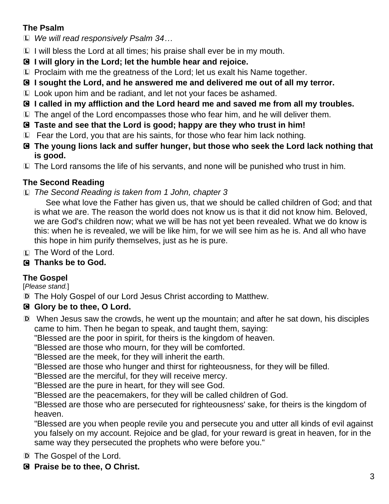# **The Psalm**

- L *We will read responsively Psalm 34…*
- L I will bless the Lord at all times; his praise shall ever be in my mouth.
- C **I will glory in the Lord; let the humble hear and rejoice.**
- L Proclaim with me the greatness of the Lord; let us exalt his Name together.
- C **I sought the Lord, and he answered me and delivered me out of all my terror.**
- L Look upon him and be radiant, and let not your faces be ashamed.
- C **I called in my affliction and the Lord heard me and saved me from all my troubles.**
- L The angel of the Lord encompasses those who fear him, and he will deliver them.
- C **Taste and see that the Lord is good; happy are they who trust in him!**
- L Fear the Lord, you that are his saints, for those who fear him lack nothing.
- C **The young lions lack and suffer hunger, but those who seek the Lord lack nothing that is good.**
- L The Lord ransoms the life of his servants, and none will be punished who trust in him.

# **The Second Reading**

L *The Second Reading is taken from 1 John, chapter 3*

See what love the Father has given us, that we should be called children of God; and that is what we are. The reason the world does not know us is that it did not know him. Beloved, we are God's children now; what we will be has not yet been revealed. What we do know is this: when he is revealed, we will be like him, for we will see him as he is. And all who have this hope in him purify themselves, just as he is pure.

- L The Word of the Lord.
- C **Thanks be to God.**

# **The Gospel**

[*Please stand.*]

D The Holy Gospel of our Lord Jesus Christ according to Matthew.

# C **Glory be to thee, O Lord.**

- D When Jesus saw the crowds, he went up the mountain; and after he sat down, his disciples came to him. Then he began to speak, and taught them, saying:
	- "Blessed are the poor in spirit, for theirs is the kingdom of heaven.
	- "Blessed are those who mourn, for they will be comforted.
	- "Blessed are the meek, for they will inherit the earth.
	- "Blessed are those who hunger and thirst for righteousness, for they will be filled.
	- "Blessed are the merciful, for they will receive mercy.
	- "Blessed are the pure in heart, for they will see God.
	- "Blessed are the peacemakers, for they will be called children of God.

"Blessed are those who are persecuted for righteousness' sake, for theirs is the kingdom of heaven.

"Blessed are you when people revile you and persecute you and utter all kinds of evil against you falsely on my account. Rejoice and be glad, for your reward is great in heaven, for in the same way they persecuted the prophets who were before you."

- D The Gospel of the Lord.
- C **Praise be to thee, O Christ.**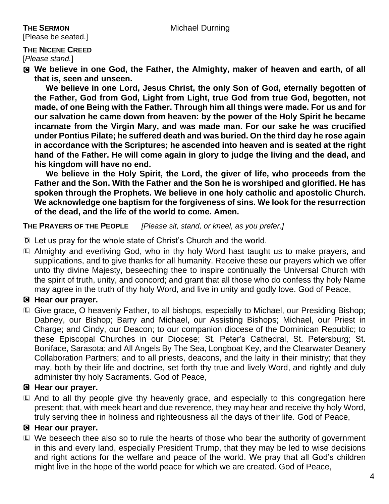[Please be seated.]

#### **THE NICENE CREED**

[*Please stand.*]

C **We believe in one God, the Father, the Almighty, maker of heaven and earth, of all that is, seen and unseen.** 

**We believe in one Lord, Jesus Christ, the only Son of God, eternally begotten of the Father, God from God, Light from Light, true God from true God, begotten, not made, of one Being with the Father. Through him all things were made. For us and for our salvation he came down from heaven: by the power of the Holy Spirit he became incarnate from the Virgin Mary, and was made man. For our sake he was crucified under Pontius Pilate; he suffered death and was buried. On the third day he rose again in accordance with the Scriptures; he ascended into heaven and is seated at the right hand of the Father. He will come again in glory to judge the living and the dead, and his kingdom will have no end.**

**We believe in the Holy Spirit, the Lord, the giver of life, who proceeds from the Father and the Son. With the Father and the Son he is worshiped and glorified. He has spoken through the Prophets. We believe in one holy catholic and apostolic Church. We acknowledge one baptism for the forgiveness of sins. We look for the resurrection of the dead, and the life of the world to come. Amen.**

**THE PRAYERS OF THE PEOPLE** *[Please sit, stand, or kneel, as you prefer.]*

- D Let us pray for the whole state of Christ's Church and the world.
- L Almighty and everliving God, who in thy holy Word hast taught us to make prayers, and supplications, and to give thanks for all humanity. Receive these our prayers which we offer unto thy divine Majesty, beseeching thee to inspire continually the Universal Church with the spirit of truth, unity, and concord; and grant that all those who do confess thy holy Name may agree in the truth of thy holy Word, and live in unity and godly love. God of Peace,

# C **Hear our prayer.**

L Give grace, O heavenly Father, to all bishops, especially to Michael, our Presiding Bishop; Dabney, our Bishop; Barry and Michael, our Assisting Bishops; Michael, our Priest in Charge; and Cindy, our Deacon; to our companion diocese of the Dominican Republic; to these Episcopal Churches in our Diocese; St. Peter's Cathedral, St. Petersburg; St. Boniface, Sarasota; and All Angels By The Sea, Longboat Key, and the Clearwater Deanery Collaboration Partners; and to all priests, deacons, and the laity in their ministry; that they may, both by their life and doctrine, set forth thy true and lively Word, and rightly and duly administer thy holy Sacraments. God of Peace,

# C **Hear our prayer.**

L And to all thy people give thy heavenly grace, and especially to this congregation here present; that, with meek heart and due reverence, they may hear and receive thy holy Word, truly serving thee in holiness and righteousness all the days of their life. God of Peace,

#### C **Hear our prayer.**

L We beseech thee also so to rule the hearts of those who bear the authority of government in this and every land, especially President Trump, that they may be led to wise decisions and right actions for the welfare and peace of the world. We pray that all God's children might live in the hope of the world peace for which we are created. God of Peace,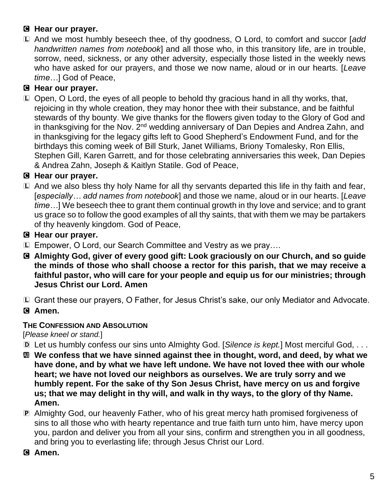# C **Hear our prayer.**

L And we most humbly beseech thee, of thy goodness, O Lord, to comfort and succor [*add handwritten names from notebook*] and all those who, in this transitory life, are in trouble, sorrow, need, sickness, or any other adversity, especially those listed in the weekly news who have asked for our prayers, and those we now name, aloud or in our hearts. [*Leave time…*] God of Peace,

# C **Hear our prayer.**

L Open, O Lord, the eyes of all people to behold thy gracious hand in all thy works, that, rejoicing in thy whole creation, they may honor thee with their substance, and be faithful stewards of thy bounty. We give thanks for the flowers given today to the Glory of God and in thanksgiving for the Nov. 2<sup>nd</sup> wedding anniversary of Dan Depies and Andrea Zahn, and in thanksgiving for the legacy gifts left to Good Shepherd's Endowment Fund, and for the birthdays this coming week of Bill Sturk, Janet Williams, Briony Tomalesky, Ron Ellis, Stephen Gill, Karen Garrett, and for those celebrating anniversaries this week, Dan Depies & Andrea Zahn, Joseph & Kaitlyn Statile. God of Peace,

# C **Hear our prayer.**

L And we also bless thy holy Name for all thy servants departed this life in thy faith and fear, [*especially… add names from notebook*] and those we name, aloud or in our hearts. [*Leave time…*] We beseech thee to grant them continual growth in thy love and service; and to grant us grace so to follow the good examples of all thy saints, that with them we may be partakers of thy heavenly kingdom. God of Peace,

#### C **Hear our prayer.**

- L Empower, O Lord, our Search Committee and Vestry as we pray….
- C **Almighty God, giver of every good gift: Look graciously on our Church, and so guide the minds of those who shall choose a rector for this parish, that we may receive a faithful pastor, who will care for your people and equip us for our ministries; through Jesus Christ our Lord. Amen**
- L Grant these our prayers, O Father, for Jesus Christ's sake, our only Mediator and Advocate.
- C **Amen.**

# **THE CONFESSION AND ABSOLUTION**

[*Please kneel or stand.*]

- D Let us humbly confess our sins unto Almighty God. [*Silence is kept.*] Most merciful God, . . .
- a **We confess that we have sinned against thee in thought, word, and deed, by what we have done, and by what we have left undone. We have not loved thee with our whole heart; we have not loved our neighbors as ourselves. We are truly sorry and we humbly repent. For the sake of thy Son Jesus Christ, have mercy on us and forgive us; that we may delight in thy will, and walk in thy ways, to the glory of thy Name. Amen.**
- P Almighty God, our heavenly Father, who of his great mercy hath promised forgiveness of sins to all those who with hearty repentance and true faith turn unto him, have mercy upon you, pardon and deliver you from all your sins, confirm and strengthen you in all goodness, and bring you to everlasting life; through Jesus Christ our Lord.
- C **Amen.**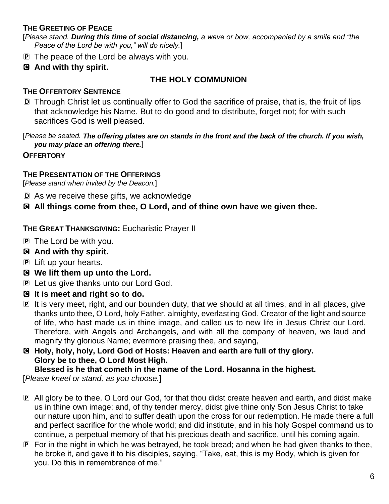#### **THE GREETING OF PEACE**

[*Please stand. During this time of social distancing, a wave or bow, accompanied by a smile and "the Peace of the Lord be with you," will do nicely.*]

- P The peace of the Lord be always with you.
- C **And with thy spirit.**

#### **THE HOLY COMMUNION**

#### **THE OFFERTORY SENTENCE**

D Through Christ let us continually offer to God the sacrifice of praise, that is, the fruit of lips that acknowledge his Name. But to do good and to distribute, forget not; for with such sacrifices God is well pleased.

[*Please be seated. The offering plates are on stands in the front and the back of the church. If you wish, you may place an offering there.*]

**OFFERTORY**

#### **THE PRESENTATION OF THE OFFERINGS**

[*Please stand when invited by the Deacon.*]

D As we receive these gifts, we acknowledge

C **All things come from thee, O Lord, and of thine own have we given thee.**

**THE GREAT THANKSGIVING:** Eucharistic Prayer II

- P The Lord be with you.
- C **And with thy spirit.**
- P Lift up your hearts.
- C **We lift them up unto the Lord.**
- **P** Let us give thanks unto our Lord God.
- C **It is meet and right so to do.**
- P It is very meet, right, and our bounden duty, that we should at all times, and in all places, give thanks unto thee, O Lord, holy Father, almighty, everlasting God. Creator of the light and source of life, who hast made us in thine image, and called us to new life in Jesus Christ our Lord. Therefore, with Angels and Archangels, and with all the company of heaven, we laud and magnify thy glorious Name; evermore praising thee, and saying,
- C **Holy, holy, holy, Lord God of Hosts: Heaven and earth are full of thy glory. Glory be to thee, O Lord Most High.**

**Blessed is he that cometh in the name of the Lord. Hosanna in the highest.** [*Please kneel or stand, as you choose.*]

- P All glory be to thee, O Lord our God, for that thou didst create heaven and earth, and didst make us in thine own image; and, of thy tender mercy, didst give thine only Son Jesus Christ to take our nature upon him, and to suffer death upon the cross for our redemption. He made there a full and perfect sacrifice for the whole world; and did institute, and in his holy Gospel command us to continue, a perpetual memory of that his precious death and sacrifice, until his coming again.
- P For in the night in which he was betrayed, he took bread; and when he had given thanks to thee, he broke it, and gave it to his disciples, saying, "Take, eat, this is my Body, which is given for you. Do this in remembrance of me."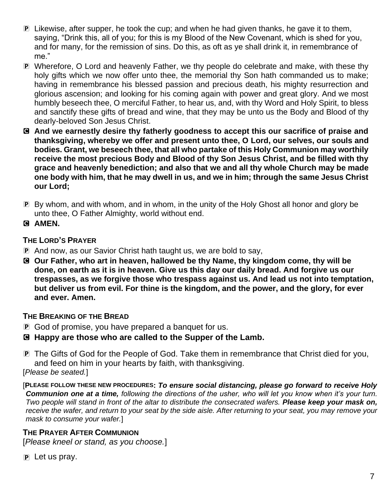- P Likewise, after supper, he took the cup; and when he had given thanks, he gave it to them, saying, "Drink this, all of you; for this is my Blood of the New Covenant, which is shed for you, and for many, for the remission of sins. Do this, as oft as ye shall drink it, in remembrance of me."
- P Wherefore, O Lord and heavenly Father, we thy people do celebrate and make, with these thy holy gifts which we now offer unto thee, the memorial thy Son hath commanded us to make; having in remembrance his blessed passion and precious death, his mighty resurrection and glorious ascension; and looking for his coming again with power and great glory. And we most humbly beseech thee, O merciful Father, to hear us, and, with thy Word and Holy Spirit, to bless and sanctify these gifts of bread and wine, that they may be unto us the Body and Blood of thy dearly-beloved Son Jesus Christ.
- C **And we earnestly desire thy fatherly goodness to accept this our sacrifice of praise and thanksgiving, whereby we offer and present unto thee, O Lord, our selves, our souls and bodies. Grant, we beseech thee, that all who partake of this Holy Communion may worthily receive the most precious Body and Blood of thy Son Jesus Christ, and be filled with thy grace and heavenly benediction; and also that we and all thy whole Church may be made one body with him, that he may dwell in us, and we in him; through the same Jesus Christ our Lord;**
- P By whom, and with whom, and in whom, in the unity of the Holy Ghost all honor and glory be unto thee, O Father Almighty, world without end.
- C **AMEN.**

#### **THE LORD'S PRAYER**

- P And now, as our Savior Christ hath taught us, we are bold to say,
- C **Our Father, who art in heaven, hallowed be thy Name, thy kingdom come, thy will be done, on earth as it is in heaven. Give us this day our daily bread. And forgive us our trespasses, as we forgive those who trespass against us. And lead us not into temptation, but deliver us from evil. For thine is the kingdom, and the power, and the glory, for ever and ever. Amen.**

#### **THE BREAKING OF THE BREAD**

- P God of promise, you have prepared a banquet for us.
- C **Happy are those who are called to the Supper of the Lamb.**

P The Gifts of God for the People of God. Take them in remembrance that Christ died for you, and feed on him in your hearts by faith, with thanksgiving. [*Please be seated.*]

[**PLEASE FOLLOW THESE NEW PROCEDURES:** *To ensure social distancing, please go forward to receive Holy Communion one at a time, following the directions of the usher, who will let you know when it's your turn. Two people will stand in front of the altar to distribute the consecrated wafers. Please keep your mask on, receive the wafer, and return to your seat by the side aisle. After returning to your seat, you may remove your mask to consume your wafer.*]

#### **THE PRAYER AFTER COMMUNION**

[*Please kneel or stand, as you choose.*]

 $\mathbf{P}$  Let us pray.